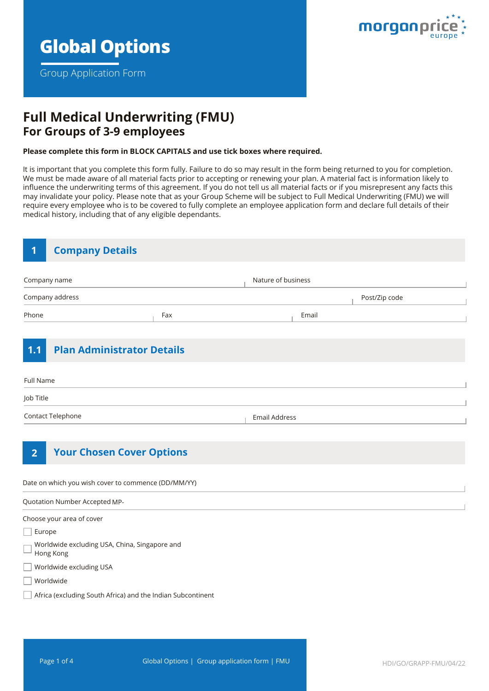

Group Application Form



## **Full Medical Underwriting (FMU) For Groups of 3-9 employees**

#### **Please complete this form in BLOCK CAPITALS and use tick boxes where required.**

It is important that you complete this form fully. Failure to do so may result in the form being returned to you for completion. We must be made aware of all material facts prior to accepting or renewing your plan. A material fact is information likely to influence the underwriting terms of this agreement. If you do not tell us all material facts or if you misrepresent any facts this may invalidate your policy. Please note that as your Group Scheme will be subject to Full Medical Underwriting (FMU) we will require every employee who is to be covered to fully complete an employee application form and declare full details of their medical history, including that of any eligible dependants.

| $\mathbf{1}$     | <b>Company Details</b>            |     |                    |       |               |
|------------------|-----------------------------------|-----|--------------------|-------|---------------|
|                  | Company name                      |     | Nature of business |       |               |
| Company address  |                                   |     |                    |       | Post/Zip code |
| Phone            |                                   | Fax |                    | Email |               |
| 1.1<br>Full Name | <b>Plan Administrator Details</b> |     |                    |       |               |
| Job Title        |                                   |     |                    |       |               |
|                  | Contact Telephone                 |     | Email Address      |       |               |
| 2 <sup>1</sup>   | <b>Your Chosen Cover Options</b>  |     |                    |       |               |

Date on which you wish cover to commence (DD/MM/YY)

Quotation Number Accepted MP-

Choose your area of cover

Europe

Worldwide excluding USA, China, Singapore and

- Hong Kong
- Worldwide excluding USA

Worldwide

Africa (excluding South Africa) and the Indian Subcontinent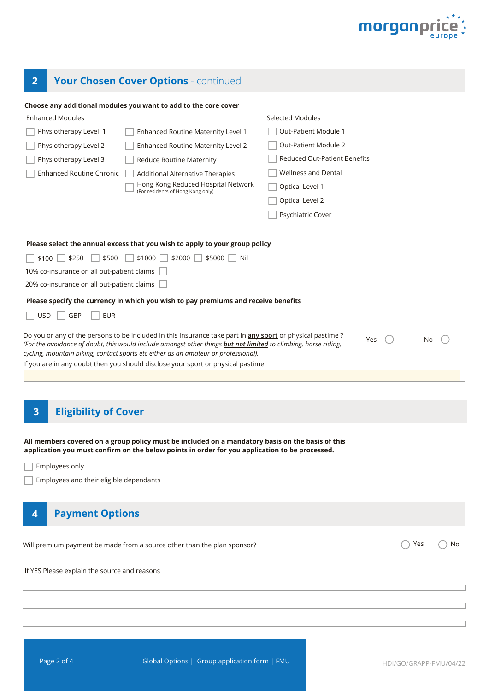

# **2 Your Chosen Cover Options** - continued

#### **Choose any additional modules you want to add to the core cover**

| Employees only<br>Employees and their eligible dependants<br><b>Payment Options</b><br>4<br>If YES Please explain the source and reasons                                                                                                                                                          | All members covered on a group policy must be included on a mandatory basis on the basis of this<br>application you must confirm on the below points in order for you application to be processed.<br>Will premium payment be made from a source other than the plan sponsor? |                                                             |  | Yes |  | No |  |
|---------------------------------------------------------------------------------------------------------------------------------------------------------------------------------------------------------------------------------------------------------------------------------------------------|-------------------------------------------------------------------------------------------------------------------------------------------------------------------------------------------------------------------------------------------------------------------------------|-------------------------------------------------------------|--|-----|--|----|--|
|                                                                                                                                                                                                                                                                                                   |                                                                                                                                                                                                                                                                               |                                                             |  |     |  |    |  |
|                                                                                                                                                                                                                                                                                                   |                                                                                                                                                                                                                                                                               |                                                             |  |     |  |    |  |
|                                                                                                                                                                                                                                                                                                   |                                                                                                                                                                                                                                                                               |                                                             |  |     |  |    |  |
|                                                                                                                                                                                                                                                                                                   |                                                                                                                                                                                                                                                                               |                                                             |  |     |  |    |  |
|                                                                                                                                                                                                                                                                                                   |                                                                                                                                                                                                                                                                               |                                                             |  |     |  |    |  |
|                                                                                                                                                                                                                                                                                                   |                                                                                                                                                                                                                                                                               |                                                             |  |     |  |    |  |
| <b>Eligibility of Cover</b><br>3                                                                                                                                                                                                                                                                  |                                                                                                                                                                                                                                                                               |                                                             |  |     |  |    |  |
|                                                                                                                                                                                                                                                                                                   |                                                                                                                                                                                                                                                                               |                                                             |  |     |  |    |  |
|                                                                                                                                                                                                                                                                                                   |                                                                                                                                                                                                                                                                               |                                                             |  |     |  |    |  |
| (For the avoidance of doubt, this would include amongst other things <b>but not limited</b> to climbing, horse riding,<br>cycling, mountain biking, contact sports etc either as an amateur or professional).<br>If you are in any doubt then you should disclose your sport or physical pastime. |                                                                                                                                                                                                                                                                               |                                                             |  |     |  |    |  |
| Do you or any of the persons to be included in this insurance take part in <b>any sport</b> or physical pastime?<br>Yes<br>No                                                                                                                                                                     |                                                                                                                                                                                                                                                                               |                                                             |  |     |  |    |  |
| <b>USD</b><br>GBP<br><b>EUR</b>                                                                                                                                                                                                                                                                   |                                                                                                                                                                                                                                                                               |                                                             |  |     |  |    |  |
|                                                                                                                                                                                                                                                                                                   | Please specify the currency in which you wish to pay premiums and receive benefits                                                                                                                                                                                            |                                                             |  |     |  |    |  |
| 10% co-insurance on all out-patient claims<br>20% co-insurance on all out-patient claims                                                                                                                                                                                                          |                                                                                                                                                                                                                                                                               |                                                             |  |     |  |    |  |
| $$100$ \ \$250<br>\$500<br>\$1000<br>$$2000$    <br>\$5000<br>∣ Nil                                                                                                                                                                                                                               |                                                                                                                                                                                                                                                                               |                                                             |  |     |  |    |  |
|                                                                                                                                                                                                                                                                                                   | Please select the annual excess that you wish to apply to your group policy                                                                                                                                                                                                   |                                                             |  |     |  |    |  |
|                                                                                                                                                                                                                                                                                                   |                                                                                                                                                                                                                                                                               |                                                             |  |     |  |    |  |
|                                                                                                                                                                                                                                                                                                   |                                                                                                                                                                                                                                                                               | Psychiatric Cover                                           |  |     |  |    |  |
|                                                                                                                                                                                                                                                                                                   | (For residents of Hong Kong only)                                                                                                                                                                                                                                             | Optical Level 2                                             |  |     |  |    |  |
|                                                                                                                                                                                                                                                                                                   | Hong Kong Reduced Hospital Network                                                                                                                                                                                                                                            | Optical Level 1                                             |  |     |  |    |  |
| Physiotherapy Level 3<br><b>Enhanced Routine Chronic</b>                                                                                                                                                                                                                                          | Reduce Routine Maternity<br>Additional Alternative Therapies                                                                                                                                                                                                                  | <b>Wellness and Dental</b>                                  |  |     |  |    |  |
|                                                                                                                                                                                                                                                                                                   | Enhanced Routine Maternity Level 2                                                                                                                                                                                                                                            | Out-Patient Module 2<br><b>Reduced Out-Patient Benefits</b> |  |     |  |    |  |
|                                                                                                                                                                                                                                                                                                   |                                                                                                                                                                                                                                                                               |                                                             |  |     |  |    |  |
| Physiotherapy Level 1<br>Physiotherapy Level 2                                                                                                                                                                                                                                                    | Enhanced Routine Maternity Level 1                                                                                                                                                                                                                                            | Out-Patient Module 1                                        |  |     |  |    |  |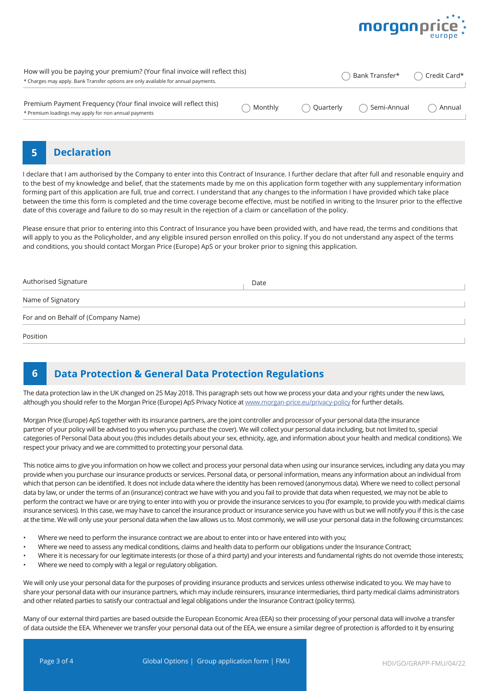

| How will you be paying your premium? (Your final invoice will reflect this)                                              | Bank Transfer* |               |               |        |
|--------------------------------------------------------------------------------------------------------------------------|----------------|---------------|---------------|--------|
| * Charges may apply. Bank Transfer options are only available for annual payments.                                       | Credit Card*   |               |               |        |
| Premium Payment Frequency (Your final invoice will reflect this)<br>* Premium loadings may apply for non annual payments | Monthly ।      | ( ) Quarterly | ) Semi-Annual | Annual |

### **5 Declaration**

I declare that I am authorised by the Company to enter into this Contract of Insurance. I further declare that after full and resonable enquiry and to the best of my knowledge and belief, that the statements made by me on this application form together with any supplementary information forming part of this application are full, true and correct. I understand that any changes to the information I have provided which take place between the time this form is completed and the time coverage become effective, must be notified in writing to the Insurer prior to the effective date of this coverage and failure to do so may result in the rejection of a claim or cancellation of the policy.

Please ensure that prior to entering into this Contract of Insurance you have been provided with, and have read, the terms and conditions that will apply to you as the Policyholder, and any eligible insured person enrolled on this policy. If you do not understand any aspect of the terms and conditions, you should contact Morgan Price (Europe) ApS or your broker prior to signing this application.

| Authorised Signature                | Date |  |
|-------------------------------------|------|--|
| Name of Signatory                   |      |  |
| For and on Behalf of (Company Name) |      |  |
| Position                            |      |  |

## **6 Data Protection & General Data Protection Regulations**

The data protection law in the UK changed on 25 May 2018. This paragraph sets out how we process your data and your rights under the new laws, although you should refer to the Morgan Price (Europe) ApS Privacy Notice at [www.morgan-price.eu/privacy-policy](http://www.morgan-price.com/privacy-policy) for further details.

Morgan Price (Europe) ApS together with its insurance partners, are the joint controller and processor of your personal data (the insurance partner of your policy will be advised to you when you purchase the cover). We will collect your personal data including, but not limited to, special categories of Personal Data about you (this includes details about your sex, ethnicity, age, and information about your health and medical conditions). We respect your privacy and we are committed to protecting your personal data.

This notice aims to give you information on how we collect and process your personal data when using our insurance services, including any data you may provide when you purchase our insurance products or services. Personal data, or personal information, means any information about an individual from which that person can be identified. It does not include data where the identity has been removed (anonymous data). Where we need to collect personal data by law, or under the terms of an (insurance) contract we have with you and you fail to provide that data when requested, we may not be able to perform the contract we have or are trying to enter into with you or provide the insurance services to you (for example, to provide you with medical claims insurance services). In this case, we may have to cancel the insurance product or insurance service you have with us but we will notify you if this is the case at the time. We will only use your personal data when the law allows us to. Most commonly, we will use your personal data in the following circumstances:

- Where we need to perform the insurance contract we are about to enter into or have entered into with you;
- Where we need to assess any medical conditions, claims and health data to perform our obligations under the Insurance Contract;
- Where it is necessary for our legitimate interests (or those of a third party) and your interests and fundamental rights do not override those interests; • Where we need to comply with a legal or regulatory obligation.

We will only use your personal data for the purposes of providing insurance products and services unless otherwise indicated to you. We may have to share your personal data with our insurance partners, which may include reinsurers, insurance intermediaries, third party medical claims administrators and other related parties to satisfy our contractual and legal obligations under the Insurance Contract (policy terms).

Many of our external third parties are based outside the European Economic Area (EEA) so their processing of your personal data will involve a transfer of data outside the EEA. Whenever we transfer your personal data out of the EEA, we ensure a similar degree of protection is afforded to it by ensuring